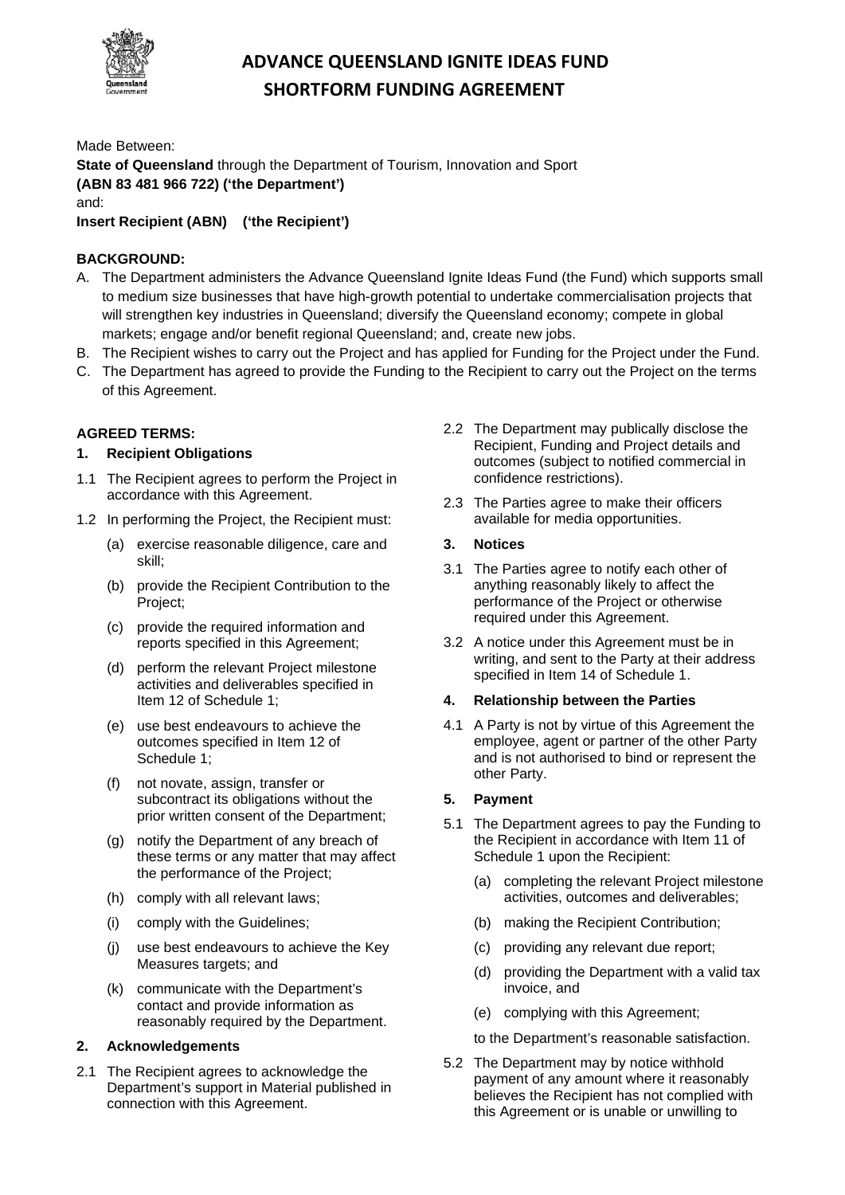

# **ADVANCE QUEENSLAND IGNITE IDEAS FUND SHORTFORM FUNDING AGREEMENT**

Made Between:

**State of Queensland** through the Department of Tourism, Innovation and Sport **(ABN 83 481 966 722) ('the Department')**

and:

**Insert Recipient (ABN) ('the Recipient')**

## **BACKGROUND:**

- A. The Department administers the Advance Queensland Ignite Ideas Fund (the Fund) which supports small to medium size businesses that have high-growth potential to undertake commercialisation projects that will strengthen key industries in Queensland; diversify the Queensland economy; compete in global markets; engage and/or benefit regional Queensland; and, create new jobs.
- B. The Recipient wishes to carry out the Project and has applied for Funding for the Project under the Fund.
- C. The Department has agreed to provide the Funding to the Recipient to carry out the Project on the terms of this Agreement.

## **AGREED TERMS:**

## **1. Recipient Obligations**

- 1.1 The Recipient agrees to perform the Project in accordance with this Agreement.
- 1.2 In performing the Project, the Recipient must:
	- (a) exercise reasonable diligence, care and skill;
	- (b) provide the Recipient Contribution to the Project;
	- (c) provide the required information and reports specified in this Agreement;
	- (d) perform the relevant Project milestone activities and deliverables specified in Item 12 of Schedule 1;
	- (e) use best endeavours to achieve the outcomes specified in Item 12 of Schedule 1;
	- (f) not novate, assign, transfer or subcontract its obligations without the prior written consent of the Department;
	- (g) notify the Department of any breach of these terms or any matter that may affect the performance of the Project;
	- (h) comply with all relevant laws;
	- (i) comply with the Guidelines;
	- (j) use best endeavours to achieve the Key Measures targets; and
	- (k) communicate with the Department's contact and provide information as reasonably required by the Department.

## **2. Acknowledgements**

2.1 The Recipient agrees to acknowledge the Department's support in Material published in connection with this Agreement.

- 2.2 The Department may publically disclose the Recipient, Funding and Project details and outcomes (subject to notified commercial in confidence restrictions).
- 2.3 The Parties agree to make their officers available for media opportunities.

## **3. Notices**

- 3.1 The Parties agree to notify each other of anything reasonably likely to affect the performance of the Project or otherwise required under this Agreement.
- 3.2 A notice under this Agreement must be in writing, and sent to the Party at their address specified in Item 14 of Schedule 1.

## **4. Relationship between the Parties**

4.1 A Party is not by virtue of this Agreement the employee, agent or partner of the other Party and is not authorised to bind or represent the other Party.

## **5. Payment**

- 5.1 The Department agrees to pay the Funding to the Recipient in accordance with Item 11 of Schedule 1 upon the Recipient:
	- (a) completing the relevant Project milestone activities, outcomes and deliverables;
	- (b) making the Recipient Contribution;
	- (c) providing any relevant due report;
	- (d) providing the Department with a valid tax invoice, and
	- (e) complying with this Agreement;

to the Department's reasonable satisfaction.

5.2 The Department may by notice withhold payment of any amount where it reasonably believes the Recipient has not complied with this Agreement or is unable or unwilling to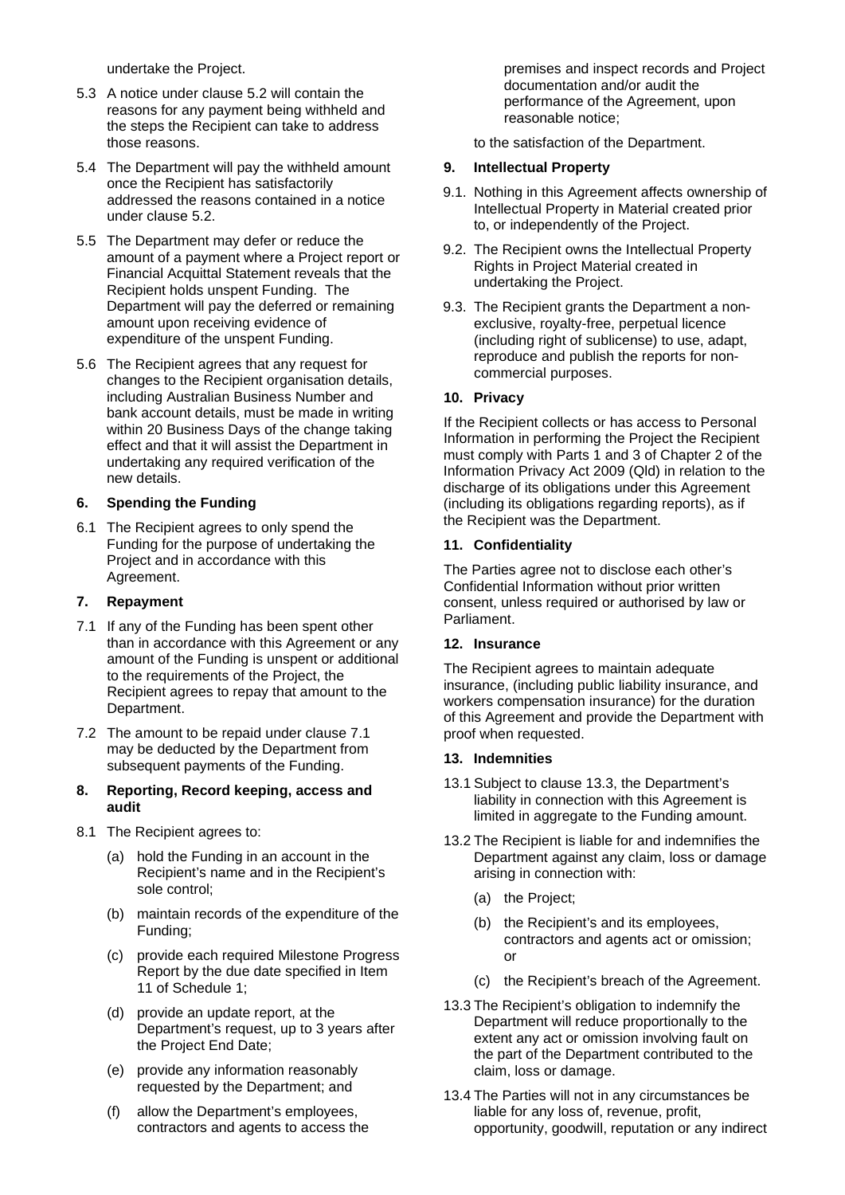undertake the Project.

- 5.3 A notice under clause 5.2 will contain the reasons for any payment being withheld and the steps the Recipient can take to address those reasons.
- 5.4 The Department will pay the withheld amount once the Recipient has satisfactorily addressed the reasons contained in a notice under clause 5.2.
- 5.5 The Department may defer or reduce the amount of a payment where a Project report or Financial Acquittal Statement reveals that the Recipient holds unspent Funding. The Department will pay the deferred or remaining amount upon receiving evidence of expenditure of the unspent Funding.
- 5.6 The Recipient agrees that any request for changes to the Recipient organisation details, including Australian Business Number and bank account details, must be made in writing within 20 Business Days of the change taking effect and that it will assist the Department in undertaking any required verification of the new details.

#### **6. Spending the Funding**

6.1 The Recipient agrees to only spend the Funding for the purpose of undertaking the Project and in accordance with this Agreement.

#### **7. Repayment**

- 7.1 If any of the Funding has been spent other than in accordance with this Agreement or any amount of the Funding is unspent or additional to the requirements of the Project, the Recipient agrees to repay that amount to the Department.
- 7.2 The amount to be repaid under clause 7.1 may be deducted by the Department from subsequent payments of the Funding.

#### **8. Reporting, Record keeping, access and audit**

- 8.1 The Recipient agrees to:
	- (a) hold the Funding in an account in the Recipient's name and in the Recipient's sole control;
	- (b) maintain records of the expenditure of the Funding;
	- (c) provide each required Milestone Progress Report by the due date specified in Item 11 of Schedule 1;
	- (d) provide an update report, at the Department's request, up to 3 years after the Project End Date;
	- (e) provide any information reasonably requested by the Department; and
	- (f) allow the Department's employees, contractors and agents to access the

premises and inspect records and Project documentation and/or audit the performance of the Agreement, upon reasonable notice;

to the satisfaction of the Department.

## **9. Intellectual Property**

- 9.1. Nothing in this Agreement affects ownership of Intellectual Property in Material created prior to, or independently of the Project.
- 9.2. The Recipient owns the Intellectual Property Rights in Project Material created in undertaking the Project.
- 9.3. The Recipient grants the Department a nonexclusive, royalty-free, perpetual licence (including right of sublicense) to use, adapt, reproduce and publish the reports for noncommercial purposes.

#### **10. Privacy**

If the Recipient collects or has access to Personal Information in performing the Project the Recipient must comply with Parts  $\overline{1}$  and 3 of Chapter 2 of the Information Privacy Act 2009 (Qld) in relation to the discharge of its obligations under this Agreement (including its obligations regarding reports), as if the Recipient was the Department.

#### **11. Confidentiality**

The Parties agree not to disclose each other's Confidential Information without prior written consent, unless required or authorised by law or Parliament.

#### **12. Insurance**

The Recipient agrees to maintain adequate insurance, (including public liability insurance, and workers compensation insurance) for the duration of this Agreement and provide the Department with proof when requested.

#### **13. Indemnities**

- 13.1 Subject to clause 13.3, the Department's liability in connection with this Agreement is limited in aggregate to the Funding amount.
- 13.2 The Recipient is liable for and indemnifies the Department against any claim, loss or damage arising in connection with:
	- (a) the Project;
	- (b) the Recipient's and its employees, contractors and agents act or omission; or
	- (c) the Recipient's breach of the Agreement.
- 13.3 The Recipient's obligation to indemnify the Department will reduce proportionally to the extent any act or omission involving fault on the part of the Department contributed to the claim, loss or damage.
- 13.4 The Parties will not in any circumstances be liable for any loss of, revenue, profit, opportunity, goodwill, reputation or any indirect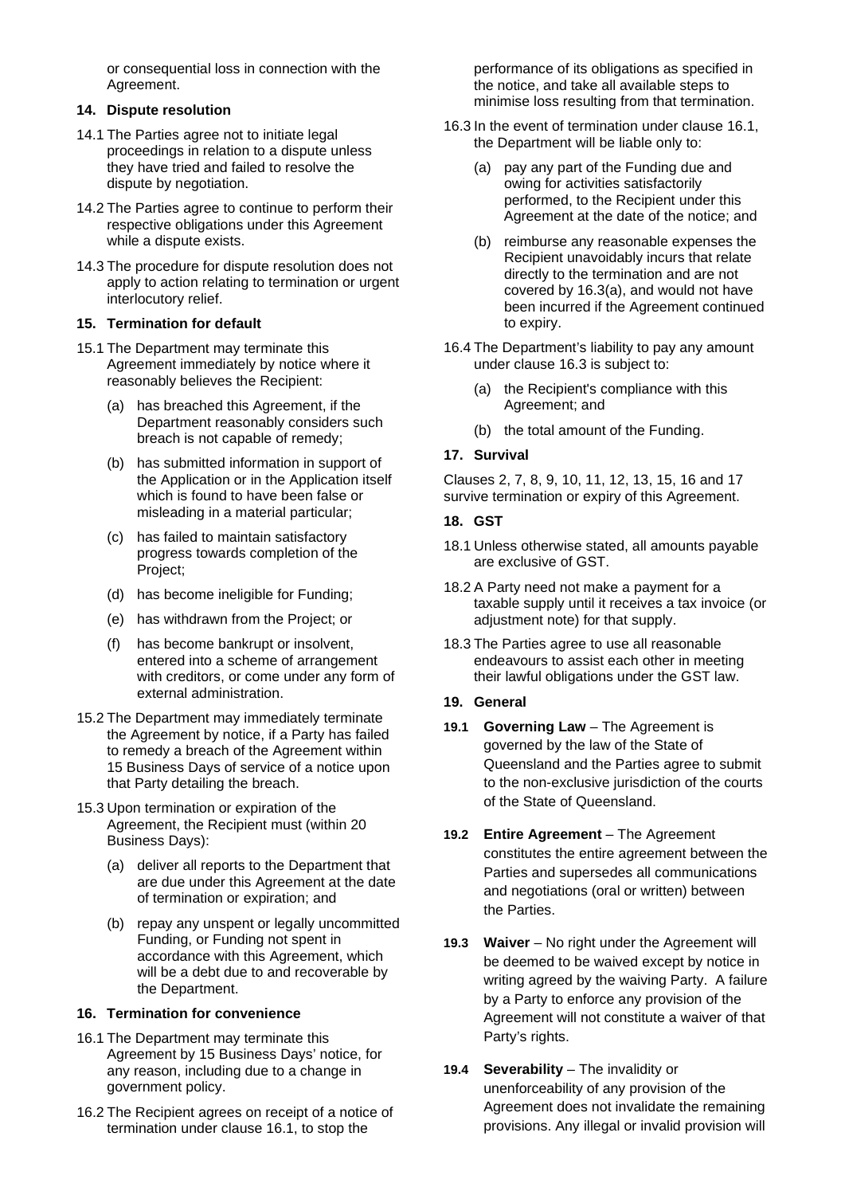or consequential loss in connection with the Agreement.

#### **14. Dispute resolution**

- 14.1 The Parties agree not to initiate legal proceedings in relation to a dispute unless they have tried and failed to resolve the dispute by negotiation.
- 14.2 The Parties agree to continue to perform their respective obligations under this Agreement while a dispute exists.
- 14.3 The procedure for dispute resolution does not apply to action relating to termination or urgent interlocutory relief.

#### **15. Termination for default**

- 15.1 The Department may terminate this Agreement immediately by notice where it reasonably believes the Recipient:
	- (a) has breached this Agreement, if the Department reasonably considers such breach is not capable of remedy;
	- (b) has submitted information in support of the Application or in the Application itself which is found to have been false or misleading in a material particular;
	- (c) has failed to maintain satisfactory progress towards completion of the Project;
	- (d) has become ineligible for Funding;
	- (e) has withdrawn from the Project; or
	- (f) has become bankrupt or insolvent, entered into a scheme of arrangement with creditors, or come under any form of external administration.
- 15.2 The Department may immediately terminate the Agreement by notice, if a Party has failed to remedy a breach of the Agreement within 15 Business Days of service of a notice upon that Party detailing the breach.
- 15.3 Upon termination or expiration of the Agreement, the Recipient must (within 20 Business Days):
	- (a) deliver all reports to the Department that are due under this Agreement at the date of termination or expiration; and
	- (b) repay any unspent or legally uncommitted Funding, or Funding not spent in accordance with this Agreement, which will be a debt due to and recoverable by the Department.

## **16. Termination for convenience**

- 16.1 The Department may terminate this Agreement by 15 Business Days' notice, for any reason, including due to a change in government policy.
- 16.2 The Recipient agrees on receipt of a notice of termination under clause 16.1, to stop the

performance of its obligations as specified in the notice, and take all available steps to minimise loss resulting from that termination.

- 16.3 In the event of termination under clause 16.1, the Department will be liable only to:
	- (a) pay any part of the Funding due and owing for activities satisfactorily performed, to the Recipient under this Agreement at the date of the notice; and
	- (b) reimburse any reasonable expenses the Recipient unavoidably incurs that relate directly to the termination and are not covered by 16.3(a), and would not have been incurred if the Agreement continued to expiry.
- 16.4 The Department's liability to pay any amount under clause 16.3 is subject to:
	- (a) the Recipient's compliance with this Agreement; and
	- (b) the total amount of the Funding.

## **17. Survival**

Clauses 2, 7, 8, 9, 10, 11, 12, 13, 15, 16 and 17 survive termination or expiry of this Agreement.

## **18. GST**

- 18.1 Unless otherwise stated, all amounts payable are exclusive of GST.
- 18.2 A Party need not make a payment for a taxable supply until it receives a tax invoice (or adjustment note) for that supply.
- 18.3 The Parties agree to use all reasonable endeavours to assist each other in meeting their lawful obligations under the GST law.
- **19. General**
- **19.1 Governing Law** The Agreement is governed by the law of the State of Queensland and the Parties agree to submit to the non-exclusive jurisdiction of the courts of the State of Queensland.
- **19.2 Entire Agreement** The Agreement constitutes the entire agreement between the Parties and supersedes all communications and negotiations (oral or written) between the Parties.
- 19.3 **Waiver** No right under the Agreement will be deemed to be waived except by notice in writing agreed by the waiving Party. A failure by a Party to enforce any provision of the Agreement will not constitute a waiver of that Party's rights.
- **19.4 Severability** The invalidity or unenforceability of any provision of the Agreement does not invalidate the remaining provisions. Any illegal or invalid provision will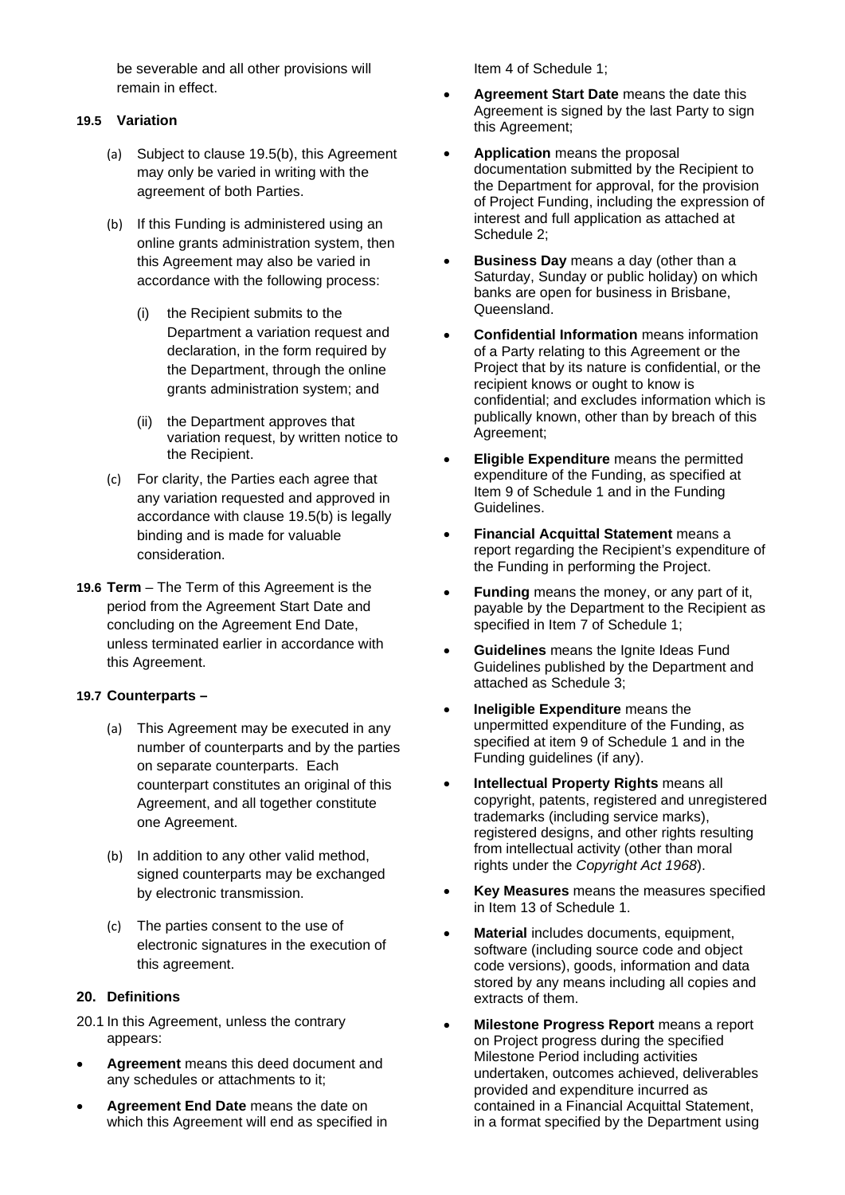be severable and all other provisions will remain in effect.

## **19.5 Variation**

- (a) Subject to clause 19.5(b), this Agreement may only be varied in writing with the agreement of both Parties.
- (b) If this Funding is administered using an online grants administration system, then this Agreement may also be varied in accordance with the following process:
	- (i) the Recipient submits to the Department a variation request and declaration, in the form required by the Department, through the online grants administration system; and
	- (ii) the Department approves that variation request, by written notice to the Recipient.
- (c) For clarity, the Parties each agree that any variation requested and approved in accordance with clause 19.5(b) is legally binding and is made for valuable consideration.
- **19.6 Term**  The Term of this Agreement is the period from the Agreement Start Date and concluding on the Agreement End Date, unless terminated earlier in accordance with this Agreement.

## **19.7 Counterparts –**

- (a) This Agreement may be executed in any number of counterparts and by the parties on separate counterparts. Each counterpart constitutes an original of this Agreement, and all together constitute one Agreement.
- (b) In addition to any other valid method, signed counterparts may be exchanged by electronic transmission.
- (c) The parties consent to the use of electronic signatures in the execution of this agreement.

#### **20. Definitions**

- 20.1 In this Agreement, unless the contrary appears:
- **Agreement** means this deed document and any schedules or attachments to it;
- **Agreement End Date** means the date on which this Agreement will end as specified in

Item 4 of Schedule 1;

- **Agreement Start Date** means the date this Agreement is signed by the last Party to sign this Agreement;
- **Application** means the proposal documentation submitted by the Recipient to the Department for approval, for the provision of Project Funding, including the expression of interest and full application as attached at Schedule 2;
- **Business Day** means a day (other than a Saturday, Sunday or public holiday) on which banks are open for business in Brisbane, Queensland.
- **Confidential Information** means information of a Party relating to this Agreement or the Project that by its nature is confidential, or the recipient knows or ought to know is confidential; and excludes information which is publically known, other than by breach of this Agreement;
- **Eligible Expenditure** means the permitted expenditure of the Funding, as specified at Item 9 of Schedule 1 and in the Funding Guidelines.
- **Financial Acquittal Statement** means a report regarding the Recipient's expenditure of the Funding in performing the Project.
- **Funding** means the money, or any part of it, payable by the Department to the Recipient as specified in Item 7 of Schedule 1;
- **Guidelines** means the Ignite Ideas Fund Guidelines published by the Department and attached as Schedule 3;
- **Ineligible Expenditure** means the unpermitted expenditure of the Funding, as specified at item 9 of Schedule 1 and in the Funding guidelines (if any).
- **Intellectual Property Rights** means all copyright, patents, registered and unregistered trademarks (including service marks), registered designs, and other rights resulting from intellectual activity (other than moral rights under the *Copyright Act 1968*).
- **Key Measures** means the measures specified in Item 13 of Schedule 1.
- **Material** includes documents, equipment, software (including source code and object code versions), goods, information and data stored by any means including all copies and extracts of them.
- **Milestone Progress Report** means a report on Project progress during the specified Milestone Period including activities undertaken, outcomes achieved, deliverables provided and expenditure incurred as contained in a Financial Acquittal Statement, in a format specified by the Department using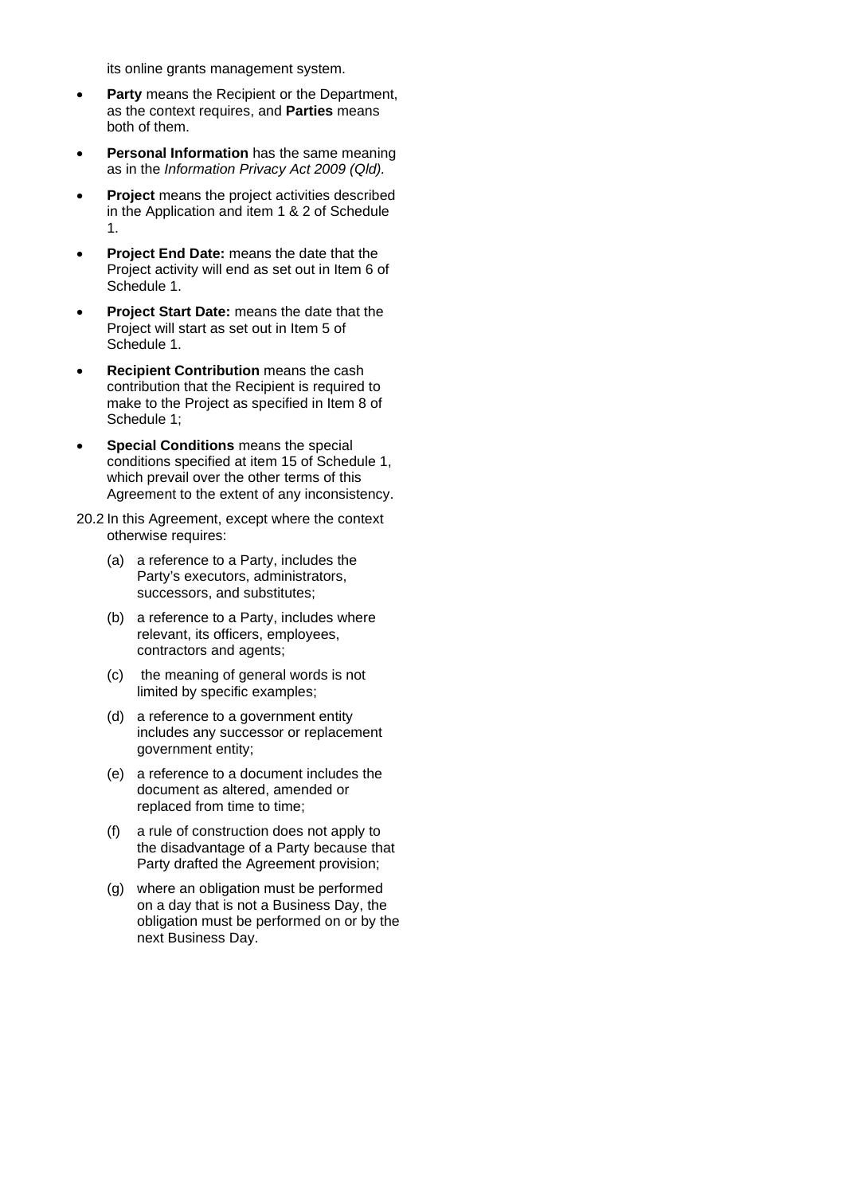its online grants management system.

- **Party** means the Recipient or the Department, as the context requires, and **Parties** means both of them.
- **Personal Information** has the same meaning as in the *Information Privacy Act 2009 (Qld).*
- **Project** means the project activities described in the Application and item 1 & 2 of Schedule 1.
- **Project End Date:** means the date that the Project activity will end as set out in Item 6 of Schedule 1.
- **Project Start Date:** means the date that the Project will start as set out in Item 5 of Schedule 1.
- **Recipient Contribution** means the cash contribution that the Recipient is required to make to the Project as specified in Item 8 of Schedule 1;
- **Special Conditions** means the special conditions specified at item 15 of Schedule 1, which prevail over the other terms of this Agreement to the extent of any inconsistency.
- 20.2 In this Agreement, except where the context otherwise requires:
	- (a) a reference to a Party, includes the Party's executors, administrators, successors, and substitutes;
	- (b) a reference to a Party, includes where relevant, its officers, employees, contractors and agents;
	- (c) the meaning of general words is not limited by specific examples;
	- (d) a reference to a government entity includes any successor or replacement government entity;
	- (e) a reference to a document includes the document as altered, amended or replaced from time to time;
	- (f) a rule of construction does not apply to the disadvantage of a Party because that Party drafted the Agreement provision;
	- (g) where an obligation must be performed on a day that is not a Business Day, the obligation must be performed on or by the next Business Day.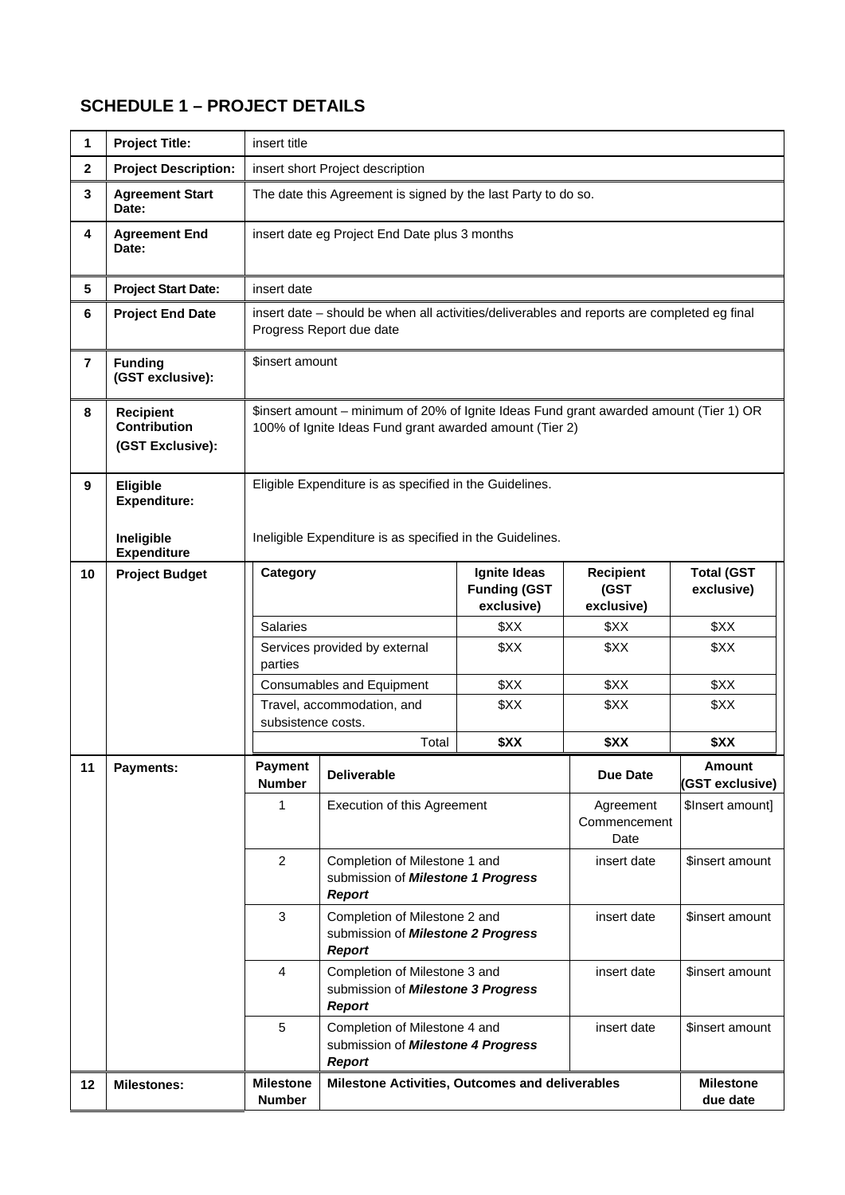# **SCHEDULE 1 – PROJECT DETAILS**

| $\mathbf 1$      | <b>Project Title:</b>                                       | insert title                                                                                                                                      |                                                                                                     |                                                   |                                        |                                 |  |
|------------------|-------------------------------------------------------------|---------------------------------------------------------------------------------------------------------------------------------------------------|-----------------------------------------------------------------------------------------------------|---------------------------------------------------|----------------------------------------|---------------------------------|--|
| $\mathbf{2}$     | <b>Project Description:</b>                                 | insert short Project description                                                                                                                  |                                                                                                     |                                                   |                                        |                                 |  |
| $\mathbf{3}$     | <b>Agreement Start</b><br>Date:                             |                                                                                                                                                   | The date this Agreement is signed by the last Party to do so.                                       |                                                   |                                        |                                 |  |
| 4                | <b>Agreement End</b><br>Date:                               | insert date eg Project End Date plus 3 months                                                                                                     |                                                                                                     |                                                   |                                        |                                 |  |
| 5                | <b>Project Start Date:</b>                                  | insert date                                                                                                                                       |                                                                                                     |                                                   |                                        |                                 |  |
| 6                | <b>Project End Date</b>                                     | insert date – should be when all activities/deliverables and reports are completed eg final<br>Progress Report due date                           |                                                                                                     |                                                   |                                        |                                 |  |
| 7                | <b>Funding</b><br>(GST exclusive):                          | \$insert amount                                                                                                                                   |                                                                                                     |                                                   |                                        |                                 |  |
| 8                | <b>Recipient</b><br><b>Contribution</b><br>(GST Exclusive): | \$insert amount - minimum of 20% of Ignite Ideas Fund grant awarded amount (Tier 1) OR<br>100% of Ignite Ideas Fund grant awarded amount (Tier 2) |                                                                                                     |                                                   |                                        |                                 |  |
| $\boldsymbol{9}$ | Eligible<br><b>Expenditure:</b>                             | Eligible Expenditure is as specified in the Guidelines.                                                                                           |                                                                                                     |                                                   |                                        |                                 |  |
|                  | Ineligible<br><b>Expenditure</b>                            | Ineligible Expenditure is as specified in the Guidelines.                                                                                         |                                                                                                     |                                                   |                                        |                                 |  |
| 10               | <b>Project Budget</b>                                       | Category                                                                                                                                          |                                                                                                     | Ignite Ideas<br><b>Funding (GST</b><br>exclusive) | <b>Recipient</b><br>(GST<br>exclusive) | <b>Total (GST</b><br>exclusive) |  |
|                  |                                                             | <b>Salaries</b>                                                                                                                                   |                                                                                                     | \$XX                                              | \$XX                                   | \$XX                            |  |
|                  |                                                             | parties                                                                                                                                           | Services provided by external                                                                       | \$XX                                              | \$XX                                   | \$XX                            |  |
|                  |                                                             | Consumables and Equipment                                                                                                                         |                                                                                                     | \$XX                                              | \$XX                                   | \$XX                            |  |
|                  |                                                             | subsistence costs.                                                                                                                                | Travel, accommodation, and                                                                          | \$XX                                              | \$XX                                   | \$XX                            |  |
|                  |                                                             |                                                                                                                                                   | Total                                                                                               | \$XX                                              | \$XX                                   | \$XX                            |  |
| 11               | Payments:                                                   | Payment<br><b>Number</b>                                                                                                                          | <b>Deliverable</b>                                                                                  |                                                   | <b>Due Date</b>                        | Amount<br>(GST exclusive)       |  |
|                  |                                                             | 1                                                                                                                                                 | Execution of this Agreement                                                                         |                                                   | Agreement<br>Commencement<br>Date      | \$Insert amount]                |  |
|                  |                                                             | $\overline{2}$                                                                                                                                    | Completion of Milestone 1 and<br>submission of Milestone 1 Progress<br><b>Report</b>                |                                                   | insert date                            | \$insert amount                 |  |
|                  |                                                             | 3                                                                                                                                                 | Completion of Milestone 2 and<br>submission of Milestone 2 Progress<br>Report                       |                                                   | insert date                            | \$insert amount                 |  |
|                  |                                                             | 4                                                                                                                                                 | Completion of Milestone 3 and<br>submission of Milestone 3 Progress<br><b>Report</b>                |                                                   | insert date                            | \$insert amount                 |  |
|                  |                                                             | 5                                                                                                                                                 | Completion of Milestone 4 and<br>insert date<br>submission of Milestone 4 Progress<br><b>Report</b> |                                                   |                                        | \$insert amount                 |  |
| 12               | <b>Milestones:</b>                                          | <b>Milestone</b><br><b>Number</b>                                                                                                                 | Milestone Activities, Outcomes and deliverables<br><b>Milestone</b><br>due date                     |                                                   |                                        |                                 |  |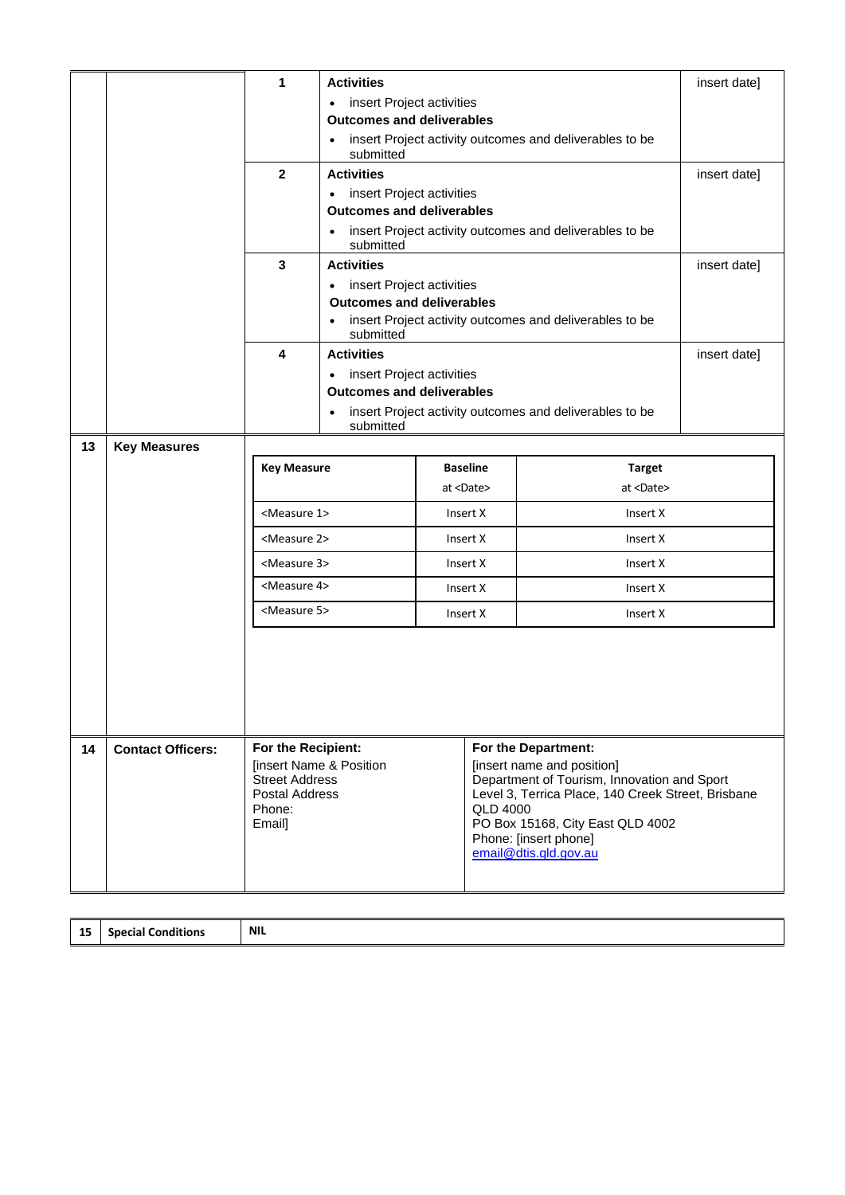|    |                          | 1                                              | <b>Activities</b>                                                                 |                                  |                            |                                                                                                   | insert date] |  |
|----|--------------------------|------------------------------------------------|-----------------------------------------------------------------------------------|----------------------------------|----------------------------|---------------------------------------------------------------------------------------------------|--------------|--|
|    |                          |                                                | insert Project activities<br>$\bullet$                                            |                                  |                            |                                                                                                   |              |  |
|    |                          |                                                | <b>Outcomes and deliverables</b>                                                  |                                  |                            |                                                                                                   |              |  |
|    |                          |                                                | insert Project activity outcomes and deliverables to be<br>$\bullet$<br>submitted |                                  |                            |                                                                                                   |              |  |
|    |                          | $\overline{2}$                                 | <b>Activities</b>                                                                 |                                  |                            |                                                                                                   |              |  |
|    |                          |                                                | insert Project activities<br>$\bullet$                                            |                                  |                            |                                                                                                   |              |  |
|    |                          |                                                | <b>Outcomes and deliverables</b>                                                  |                                  |                            |                                                                                                   |              |  |
|    |                          |                                                | submitted                                                                         |                                  |                            | insert Project activity outcomes and deliverables to be                                           |              |  |
|    |                          | 3                                              | <b>Activities</b>                                                                 |                                  |                            |                                                                                                   | insert date] |  |
|    |                          |                                                | insert Project activities<br>$\bullet$                                            |                                  |                            |                                                                                                   |              |  |
|    |                          |                                                |                                                                                   | <b>Outcomes and deliverables</b> |                            |                                                                                                   |              |  |
|    |                          |                                                | $\bullet$<br>submitted                                                            |                                  |                            | insert Project activity outcomes and deliverables to be                                           |              |  |
|    |                          | 4                                              | <b>Activities</b>                                                                 |                                  |                            |                                                                                                   | insert date] |  |
|    |                          |                                                | $\bullet$                                                                         | insert Project activities        |                            |                                                                                                   |              |  |
|    |                          |                                                | <b>Outcomes and deliverables</b>                                                  |                                  |                            |                                                                                                   |              |  |
|    |                          |                                                | insert Project activity outcomes and deliverables to be<br>$\bullet$<br>submitted |                                  |                            |                                                                                                   |              |  |
| 13 | <b>Key Measures</b>      |                                                |                                                                                   |                                  |                            |                                                                                                   |              |  |
|    |                          | <b>Key Measure</b>                             |                                                                                   |                                  | <b>Baseline</b>            | <b>Target</b>                                                                                     |              |  |
|    |                          |                                                |                                                                                   |                                  | at <date></date>           | at <date></date>                                                                                  |              |  |
|    |                          | <measure 1=""></measure>                       |                                                                                   |                                  | Insert X                   | Insert X                                                                                          |              |  |
|    |                          | <measure 2=""></measure>                       | Insert X                                                                          |                                  |                            | Insert X                                                                                          |              |  |
|    |                          | <measure 3=""></measure>                       | Insert X<br>Insert X                                                              |                                  |                            |                                                                                                   |              |  |
|    |                          | <measure 4=""></measure>                       |                                                                                   | Insert X                         |                            | Insert X                                                                                          |              |  |
|    |                          | <measure 5=""></measure>                       |                                                                                   | Insert X<br>Insert X             |                            |                                                                                                   |              |  |
|    |                          |                                                |                                                                                   |                                  |                            |                                                                                                   |              |  |
|    |                          |                                                |                                                                                   |                                  |                            |                                                                                                   |              |  |
|    |                          |                                                |                                                                                   |                                  |                            |                                                                                                   |              |  |
|    |                          |                                                |                                                                                   |                                  |                            |                                                                                                   |              |  |
| 14 | <b>Contact Officers:</b> | For the Recipient:<br>For the Department:      |                                                                                   |                                  |                            |                                                                                                   |              |  |
|    |                          |                                                | <b>[insert Name &amp; Position</b>                                                |                                  | [insert name and position] |                                                                                                   |              |  |
|    |                          | <b>Street Address</b><br><b>Postal Address</b> |                                                                                   |                                  |                            | Department of Tourism, Innovation and Sport<br>Level 3, Terrica Place, 140 Creek Street, Brisbane |              |  |
|    |                          | Phone:                                         |                                                                                   |                                  | <b>QLD 4000</b>            |                                                                                                   |              |  |
|    |                          | Email]                                         | PO Box 15168, City East QLD 4002<br>Phone: [insert phone]                         |                                  |                            |                                                                                                   |              |  |
|    |                          |                                                |                                                                                   |                                  |                            | email@dtis.qld.gov.au                                                                             |              |  |
|    |                          |                                                |                                                                                   |                                  |                            |                                                                                                   |              |  |
|    |                          |                                                |                                                                                   |                                  |                            |                                                                                                   |              |  |

| <b>15</b><br><br>__ | <br>.spr<br>.<br>conditions<br>sula:<br>_ _ _ | NIL |
|---------------------|-----------------------------------------------|-----|
|---------------------|-----------------------------------------------|-----|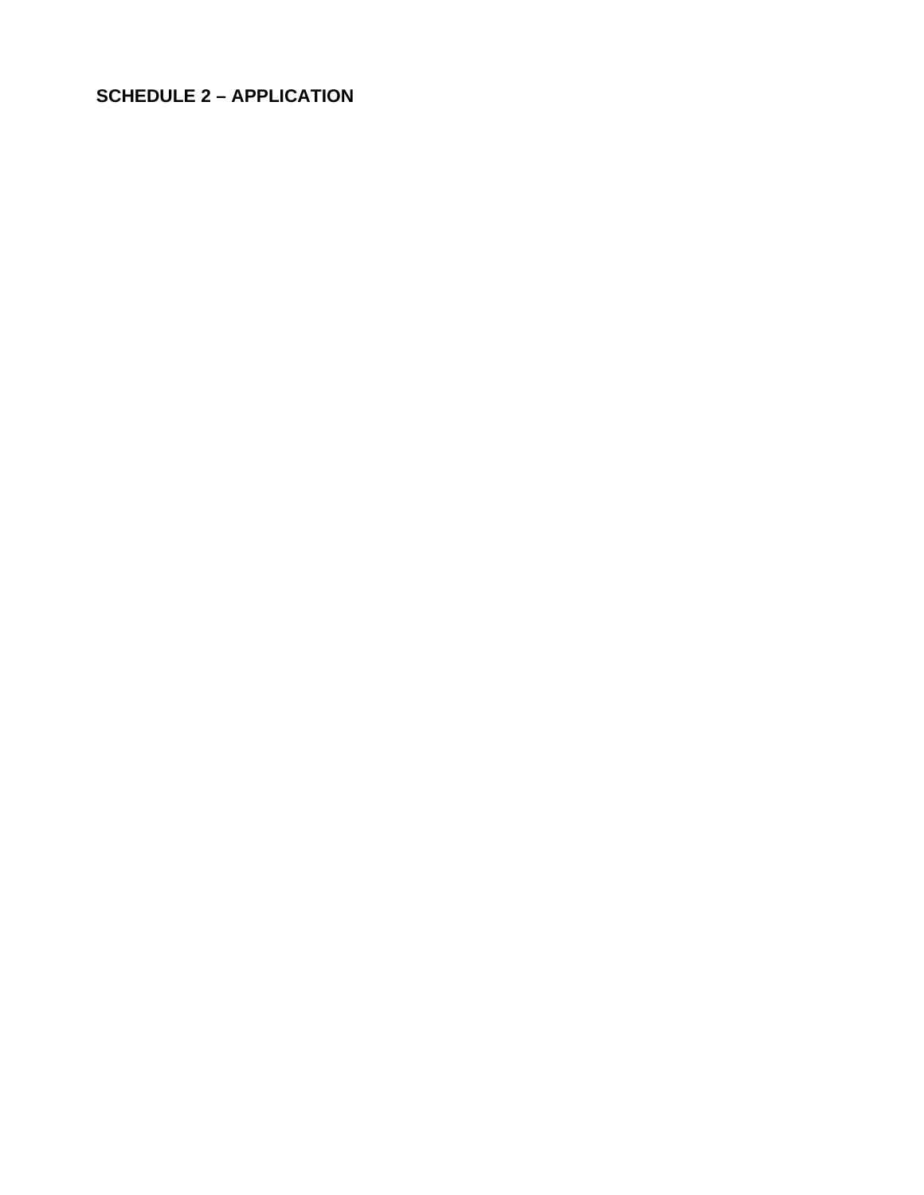# **SCHEDULE 2 - APPLICATION**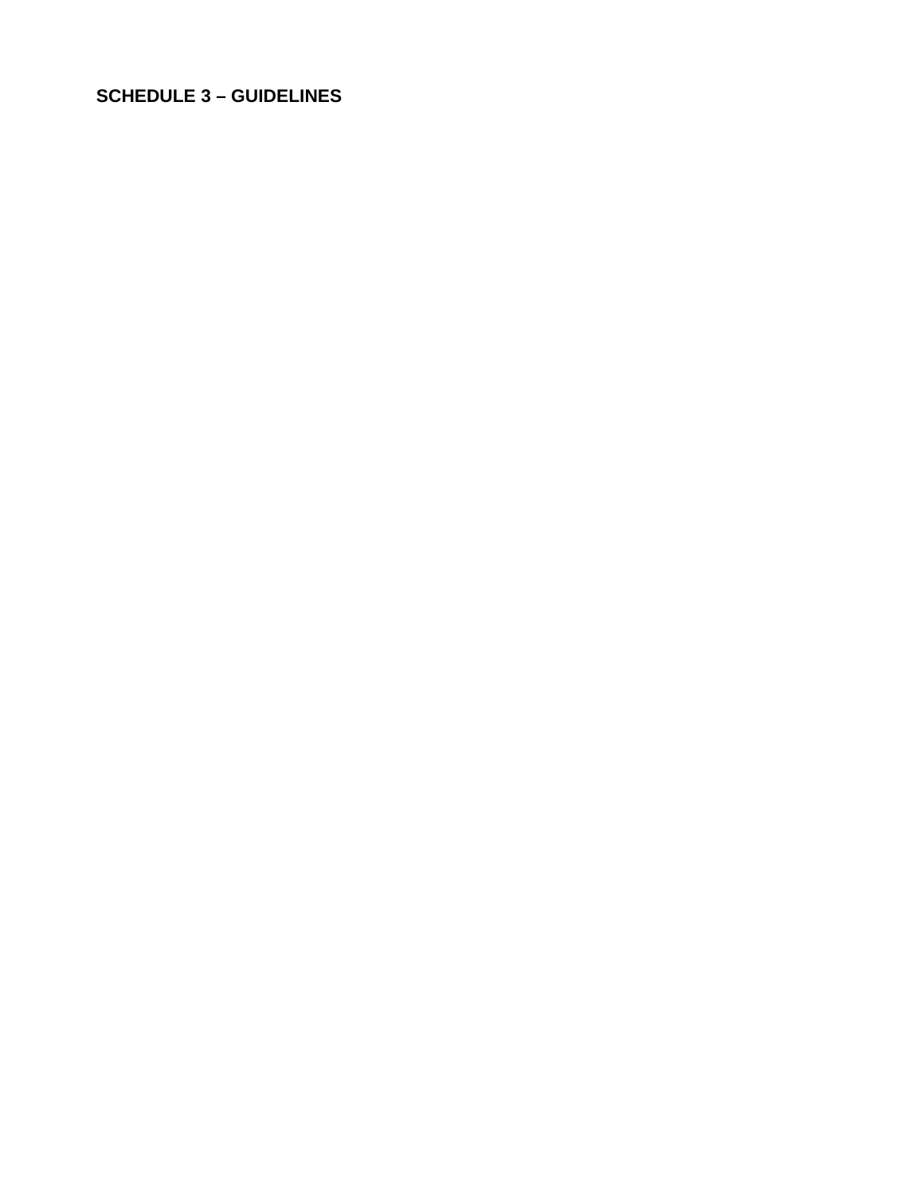# **SCHEDULE 3 - GUIDELINES**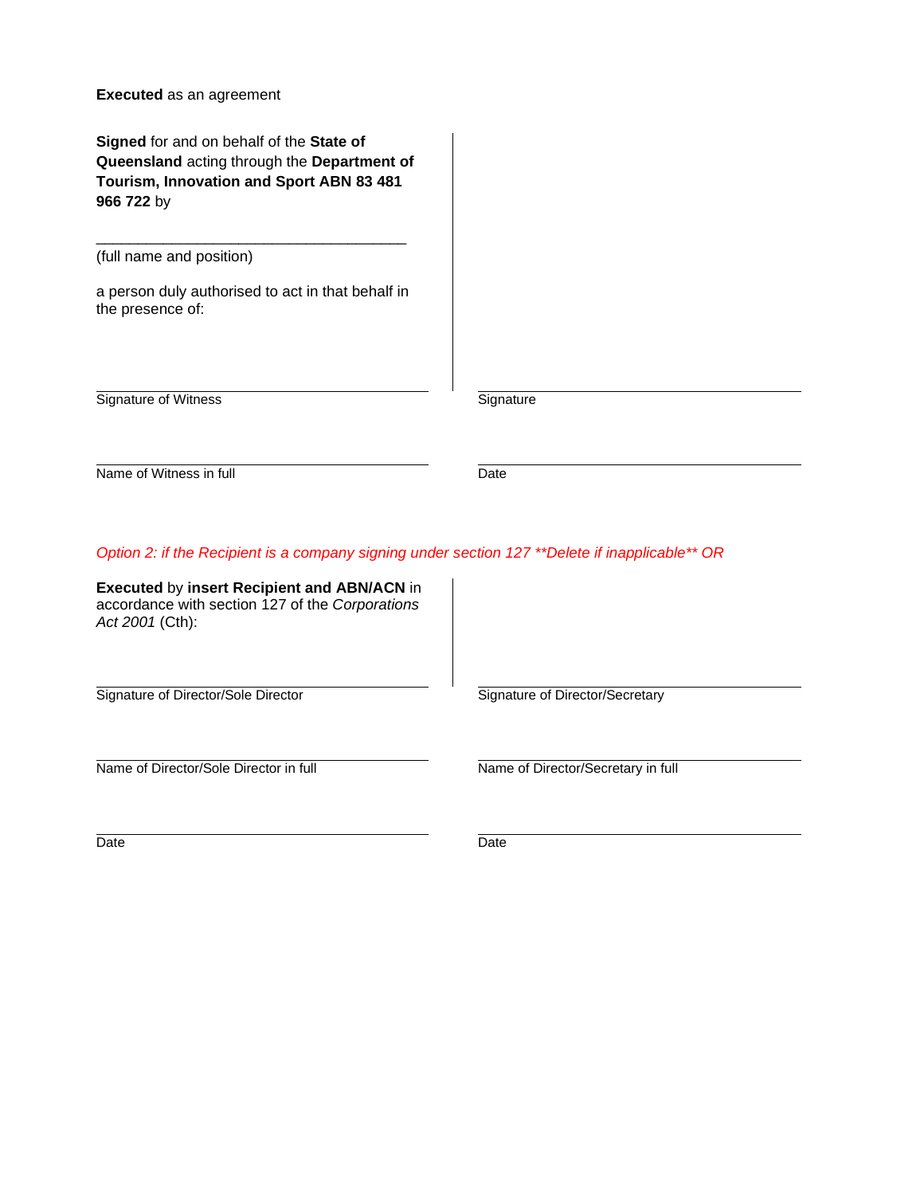**Executed** as an agreement

**Signed** for and on behalf of the **State of Queensland** acting through the **Department of Tourism, Innovation and Sport ABN 83 481 966 722** by

(full name and position)

a person duly authorised to act in that behalf in the presence of:

\_\_\_\_\_\_\_\_\_\_\_\_\_\_\_\_\_\_\_\_\_\_\_\_\_\_\_\_\_\_\_\_\_\_\_\_\_

Signature of Witness Signature Communication of Witness

Name of Witness in full Date

*Option 2: if the Recipient is a company signing under section 127 \*\*Delete if inapplicable\*\* OR*

**Executed** by **insert Recipient and ABN/ACN** in accordance with section 127 of the *Corporations Act 2001* (Cth):

Signature of Director/Sole Director<br>
Signature of Director/Secretary

Name of Director/Sole Director in full Name of Director/Secretary in full

Date **Date** Date **Date** Date **Date**